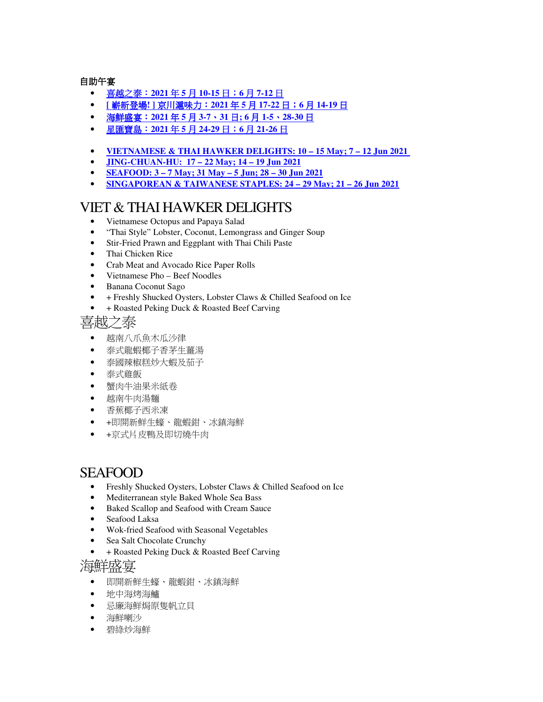自助午宴

- 喜越之泰:**2021** 年 **5** 月 **10-15** 日;**6** 月 **7-12** 日
- **[** 嶄新登場**! ]** 京川滬味力:**2021** 年 **5** 月 **17-22** 日;**6** 月 **14-19** 日
- 海鮮盛宴:**2021** 年 **5** 月 **3-7**、**31** 日**; 6** 月 **1-5**、**28-30** 日
- 星匯寶島:**2021** 年 **5** 月 **24-29** 日;**6** 月 **21-26** 日
- **VIETNAMESE & THAI HAWKER DELIGHTS: 10 15 May; 7 12 Jun 2021**
- **JING-CHUAN-HU: 17 22 May; 14 19 Jun 2021**
- **SEAFOOD: 3 7 May; 31 May 5 Jun; 28 30 Jun 2021**
- **SINGAPOREAN & TAIWANESE STAPLES: 24 29 May; 21 26 Jun 2021**

### VIET & THAI HAWKER DELIGHTS

- Vietnamese Octopus and Papaya Salad
- "Thai Style" Lobster, Coconut, Lemongrass and Ginger Soup
- Stir-Fried Prawn and Eggplant with Thai Chili Paste
- Thai Chicken Rice
- Crab Meat and Avocado Rice Paper Rolls
- Vietnamese Pho Beef Noodles
- Banana Coconut Sago
- + Freshly Shucked Oysters, Lobster Claws & Chilled Seafood on Ice
- + Roasted Peking Duck & Roasted Beef Carving

喜越之泰

- 越南八爪魚木瓜沙律
- 泰式龍蝦椰子香茅生薑湯
- 泰國辣椒糕炒大蝦及茄子
- 泰式雞飯
- 蟹肉牛油果米紙卷
- 越南牛肉湯麵
- 香蕉椰子西米凍
- +即開新鮮生蠔、龍蝦鉗、冰鎮海鮮
- +京式片皮鴨及即切燒牛肉

# SEAFOOD

- Freshly Shucked Oysters, Lobster Claws & Chilled Seafood on Ice
- Mediterranean style Baked Whole Sea Bass
- Baked Scallop and Seafood with Cream Sauce
- Seafood Laksa
- Wok-fried Seafood with Seasonal Vegetables
- Sea Salt Chocolate Crunchy
- + Roasted Peking Duck & Roasted Beef Carving

#### 海鮮盛宴

- 即開新鮮生蠔、龍蝦鉗、冰鎮海鮮
- 地中海烤海鱸
- 忌廉海鮮焗原隻帆立貝
- 海鮮喇沙
- 碧綠炒海鮮